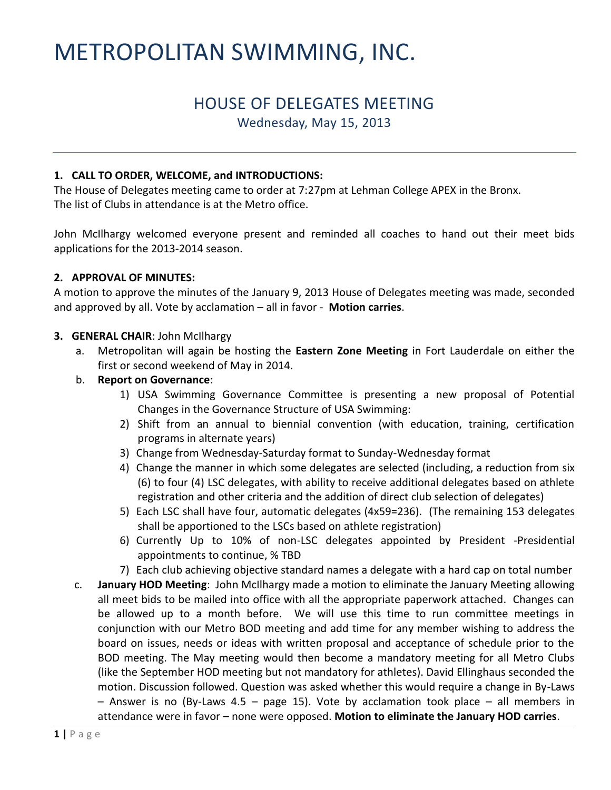# METROPOLITAN SWIMMING, INC.

# HOUSE OF DELEGATES MEETING

Wednesday, May 15, 2013

#### **1. CALL TO ORDER, WELCOME, and INTRODUCTIONS:**

The House of Delegates meeting came to order at 7:27pm at Lehman College APEX in the Bronx. The list of Clubs in attendance is at the Metro office.

John McIlhargy welcomed everyone present and reminded all coaches to hand out their meet bids applications for the 2013-2014 season.

#### **2. APPROVAL OF MINUTES:**

A motion to approve the minutes of the January 9, 2013 House of Delegates meeting was made, seconded and approved by all. Vote by acclamation – all in favor - **Motion carries**.

#### **3. GENERAL CHAIR**: John McIlhargy

a. Metropolitan will again be hosting the **Eastern Zone Meeting** in Fort Lauderdale on either the first or second weekend of May in 2014.

#### b. **Report on Governance**:

- 1) USA Swimming Governance Committee is presenting a new proposal of Potential Changes in the Governance Structure of USA Swimming:
- 2) Shift from an annual to biennial convention (with education, training, certification programs in alternate years)
- 3) Change from Wednesday-Saturday format to Sunday-Wednesday format
- 4) Change the manner in which some delegates are selected (including, a reduction from six (6) to four (4) LSC delegates, with ability to receive additional delegates based on athlete registration and other criteria and the addition of direct club selection of delegates)
- 5) Each LSC shall have four, automatic delegates (4x59=236). (The remaining 153 delegates shall be apportioned to the LSCs based on athlete registration)
- 6) Currently Up to 10% of non-LSC delegates appointed by President -Presidential appointments to continue, % TBD
- 7) Each club achieving objective standard names a delegate with a hard cap on total number
- c. **January HOD Meeting**: John McIlhargy made a motion to eliminate the January Meeting allowing all meet bids to be mailed into office with all the appropriate paperwork attached. Changes can be allowed up to a month before. We will use this time to run committee meetings in conjunction with our Metro BOD meeting and add time for any member wishing to address the board on issues, needs or ideas with written proposal and acceptance of schedule prior to the BOD meeting. The May meeting would then become a mandatory meeting for all Metro Clubs (like the September HOD meeting but not mandatory for athletes). David Ellinghaus seconded the motion. Discussion followed. Question was asked whether this would require a change in By-Laws – Answer is no (By-Laws 4.5 – page 15). Vote by acclamation took place – all members in attendance were in favor – none were opposed. **Motion to eliminate the January HOD carries**.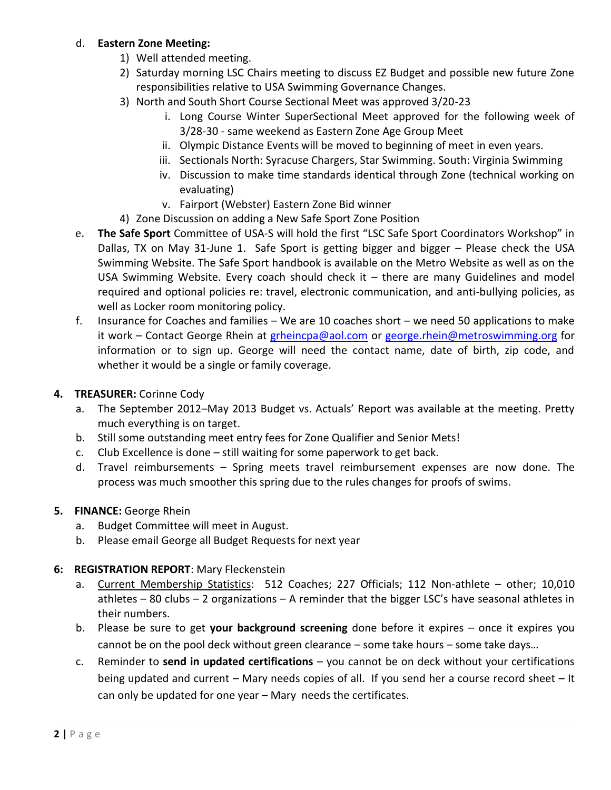#### d. **Eastern Zone Meeting:**

- 1) Well attended meeting.
- 2) Saturday morning LSC Chairs meeting to discuss EZ Budget and possible new future Zone responsibilities relative to USA Swimming Governance Changes.
- 3) North and South Short Course Sectional Meet was approved 3/20-23
	- i. Long Course Winter SuperSectional Meet approved for the following week of 3/28-30 - same weekend as Eastern Zone Age Group Meet
	- ii. Olympic Distance Events will be moved to beginning of meet in even years.
	- iii. Sectionals North: Syracuse Chargers, Star Swimming. South: Virginia Swimming
	- iv. Discussion to make time standards identical through Zone (technical working on evaluating)
	- v. Fairport (Webster) Eastern Zone Bid winner
- 4) Zone Discussion on adding a New Safe Sport Zone Position
- e. **The Safe Sport** Committee of USA-S will hold the first "LSC Safe Sport Coordinators Workshop" in Dallas, TX on May 31-June 1. Safe Sport is getting bigger and bigger – Please check the USA Swimming Website. The Safe Sport handbook is available on the Metro Website as well as on the USA Swimming Website. Every coach should check it – there are many Guidelines and model required and optional policies re: travel, electronic communication, and anti-bullying policies, as well as Locker room monitoring policy.
- f. Insurance for Coaches and families We are 10 coaches short we need 50 applications to make it work – Contact George Rhein at [grheincpa@aol.com](mailto:grheincpa@aol.com) or [george.rhein@metroswimming.org](mailto:george.rhein@metroswimming.org) for information or to sign up. George will need the contact name, date of birth, zip code, and whether it would be a single or family coverage.

#### **4. TREASURER:** Corinne Cody

- a. The September 2012–May 2013 Budget vs. Actuals' Report was available at the meeting. Pretty much everything is on target.
- b. Still some outstanding meet entry fees for Zone Qualifier and Senior Mets!
- c. Club Excellence is done still waiting for some paperwork to get back.
- d. Travel reimbursements Spring meets travel reimbursement expenses are now done. The process was much smoother this spring due to the rules changes for proofs of swims.

#### **5. FINANCE:** George Rhein

- a. Budget Committee will meet in August.
- b. Please email George all Budget Requests for next year

#### **6: REGISTRATION REPORT**: Mary Fleckenstein

- a. Current Membership Statistics: 512 Coaches; 227 Officials; 112 Non-athlete other; 10,010 athletes – 80 clubs – 2 organizations – A reminder that the bigger LSC's have seasonal athletes in their numbers.
- b. Please be sure to get **your background screening** done before it expires once it expires you cannot be on the pool deck without green clearance – some take hours – some take days…
- c. Reminder to **send in updated certifications** you cannot be on deck without your certifications being updated and current – Mary needs copies of all. If you send her a course record sheet – It can only be updated for one year – Mary needs the certificates.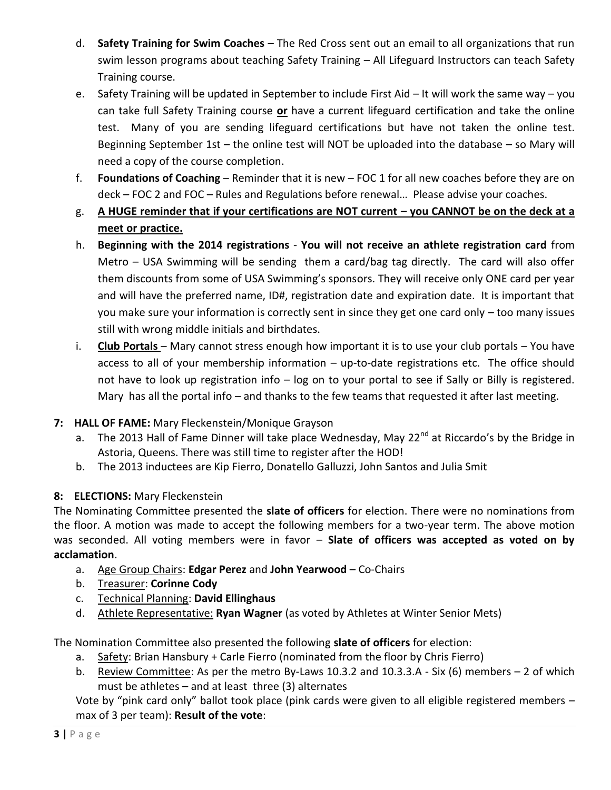- d. **Safety Training for Swim Coaches** The Red Cross sent out an email to all organizations that run swim lesson programs about teaching Safety Training – All Lifeguard Instructors can teach Safety Training course.
- e. Safety Training will be updated in September to include First Aid It will work the same way you can take full Safety Training course **or** have a current lifeguard certification and take the online test. Many of you are sending lifeguard certifications but have not taken the online test. Beginning September 1st – the online test will NOT be uploaded into the database – so Mary will need a copy of the course completion.
- f. **Foundations of Coaching** Reminder that it is new FOC 1 for all new coaches before they are on deck – FOC 2 and FOC – Rules and Regulations before renewal… Please advise your coaches.
- g. **A HUGE reminder that if your certifications are NOT current – you CANNOT be on the deck at a meet or practice.**
- h. **Beginning with the 2014 registrations You will not receive an athlete registration card** from Metro – USA Swimming will be sending them a card/bag tag directly. The card will also offer them discounts from some of USA Swimming's sponsors. They will receive only ONE card per year and will have the preferred name, ID#, registration date and expiration date. It is important that you make sure your information is correctly sent in since they get one card only – too many issues still with wrong middle initials and birthdates.
- i. **Club Portals**  Mary cannot stress enough how important it is to use your club portals You have access to all of your membership information – up-to-date registrations etc. The office should not have to look up registration info – log on to your portal to see if Sally or Billy is registered. Mary has all the portal info - and thanks to the few teams that requested it after last meeting.

#### **7: HALL OF FAME:** Mary Fleckenstein/Monique Grayson

- a. The 2013 Hall of Fame Dinner will take place Wednesday, May 22<sup>nd</sup> at Riccardo's by the Bridge in Astoria, Queens. There was still time to register after the HOD!
- b. The 2013 inductees are Kip Fierro, Donatello Galluzzi, John Santos and Julia Smit

### **8: ELECTIONS:** Mary Fleckenstein

The Nominating Committee presented the **slate of officers** for election. There were no nominations from the floor. A motion was made to accept the following members for a two-year term. The above motion was seconded. All voting members were in favor – **Slate of officers was accepted as voted on by acclamation**.

- a. Age Group Chairs: **Edgar Perez** and **John Yearwood** Co-Chairs
- b. Treasurer: **Corinne Cody**
- c. Technical Planning: **David Ellinghaus**
- d. Athlete Representative: **Ryan Wagner** (as voted by Athletes at Winter Senior Mets)

The Nomination Committee also presented the following **slate of officers** for election:

- a. Safety: Brian Hansbury + Carle Fierro (nominated from the floor by Chris Fierro)
- b. Review Committee: As per the metro By-Laws 10.3.2 and 10.3.3.A Six (6) members 2 of which must be athletes – and at least three (3) alternates

Vote by "pink card only" ballot took place (pink cards were given to all eligible registered members – max of 3 per team): **Result of the vote**: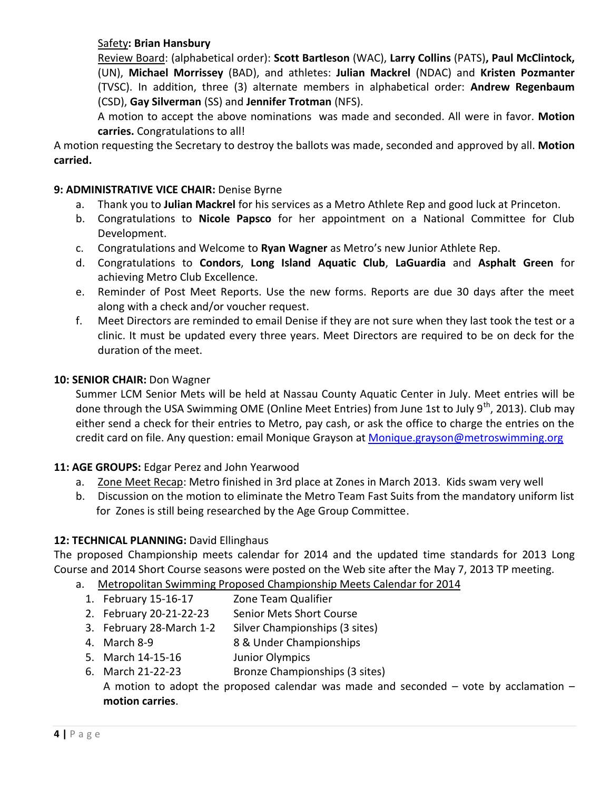#### Safety**: Brian Hansbury**

Review Board: (alphabetical order): **Scott Bartleson** (WAC), **Larry Collins** (PATS)**, Paul McClintock,**  (UN), **Michael Morrissey** (BAD), and athletes: **Julian Mackrel** (NDAC) and **Kristen Pozmanter** (TVSC). In addition, three (3) alternate members in alphabetical order: **Andrew Regenbaum** (CSD), **Gay Silverman** (SS) and **Jennifer Trotman** (NFS).

A motion to accept the above nominations was made and seconded. All were in favor. **Motion carries.** Congratulations to all!

A motion requesting the Secretary to destroy the ballots was made, seconded and approved by all. **Motion carried.**

#### **9: ADMINISTRATIVE VICE CHAIR:** Denise Byrne

- a. Thank you to **Julian Mackrel** for his services as a Metro Athlete Rep and good luck at Princeton.
- b. Congratulations to **Nicole Papsco** for her appointment on a National Committee for Club Development.
- c. Congratulations and Welcome to **Ryan Wagner** as Metro's new Junior Athlete Rep.
- d. Congratulations to **Condors**, **Long Island Aquatic Club**, **LaGuardia** and **Asphalt Green** for achieving Metro Club Excellence.
- e. Reminder of Post Meet Reports. Use the new forms. Reports are due 30 days after the meet along with a check and/or voucher request.
- f. Meet Directors are reminded to email Denise if they are not sure when they last took the test or a clinic. It must be updated every three years. Meet Directors are required to be on deck for the duration of the meet.

#### **10: SENIOR CHAIR:** Don Wagner

Summer LCM Senior Mets will be held at Nassau County Aquatic Center in July. Meet entries will be done through the USA Swimming OME (Online Meet Entries) from June 1st to July  $9^{th}$ , 2013). Club may either send a check for their entries to Metro, pay cash, or ask the office to charge the entries on the credit card on file. Any question: email Monique Grayson at [Monique.grayson@metroswimming.org](mailto:Monique.grayson@metroswimming.org)

#### **11: AGE GROUPS:** Edgar Perez and John Yearwood

- a. Zone Meet Recap: Metro finished in 3rd place at Zones in March 2013. Kids swam very well
- b. Discussion on the motion to eliminate the Metro Team Fast Suits from the mandatory uniform list for Zones is still being researched by the Age Group Committee.

#### **12: TECHNICAL PLANNING:** David Ellinghaus

The proposed Championship meets calendar for 2014 and the updated time standards for 2013 Long Course and 2014 Short Course seasons were posted on the Web site after the May 7, 2013 TP meeting.

- a. Metropolitan Swimming Proposed Championship Meets Calendar for 2014
	- 1. February 15-16-17 Zone Team Qualifier
	- 2. February 20-21-22-23 Senior Mets Short Course
	- 3. February 28-March 1-2 Silver Championships (3 sites)
	- 4. March 8-9 8 & Under Championships
	- 5. March 14-15-16 Junior Olympics
	- 6. March 21-22-23 Bronze Championships (3 sites)

A motion to adopt the proposed calendar was made and seconded  $-$  vote by acclamation  $$ **motion carries**.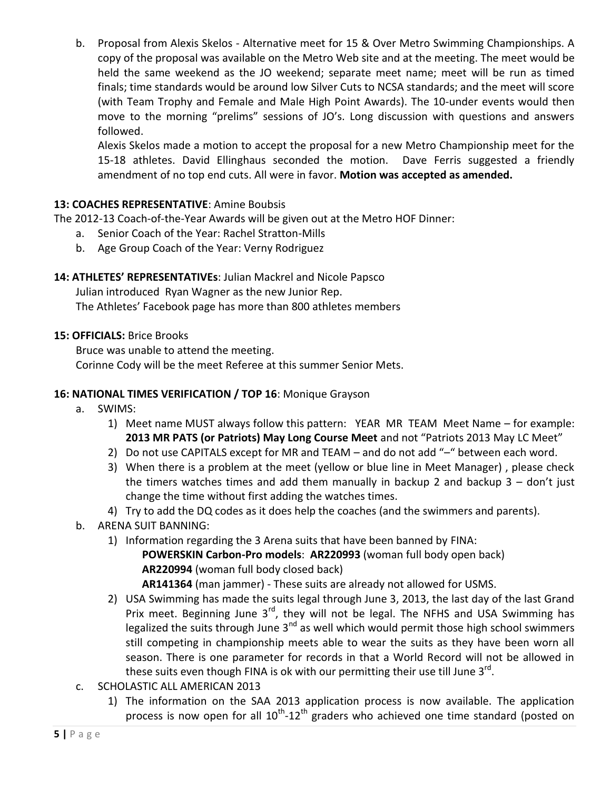b. Proposal from Alexis Skelos - Alternative meet for 15 & Over Metro Swimming Championships. A copy of the proposal was available on the Metro Web site and at the meeting. The meet would be held the same weekend as the JO weekend; separate meet name; meet will be run as timed finals; time standards would be around low Silver Cuts to NCSA standards; and the meet will score (with Team Trophy and Female and Male High Point Awards). The 10-under events would then move to the morning "prelims" sessions of JO's. Long discussion with questions and answers followed.

Alexis Skelos made a motion to accept the proposal for a new Metro Championship meet for the 15-18 athletes. David Ellinghaus seconded the motion. Dave Ferris suggested a friendly amendment of no top end cuts. All were in favor. **Motion was accepted as amended.**

#### **13: COACHES REPRESENTATIVE**: Amine Boubsis

The 2012-13 Coach-of-the-Year Awards will be given out at the Metro HOF Dinner:

- a. Senior Coach of the Year: Rachel Stratton-Mills
- b. Age Group Coach of the Year: Verny Rodriguez

#### **14: ATHLETES' REPRESENTATIVEs**: Julian Mackrel and Nicole Papsco

Julian introduced Ryan Wagner as the new Junior Rep.

The Athletes' Facebook page has more than 800 athletes members

#### **15: OFFICIALS:** Brice Brooks

Bruce was unable to attend the meeting.

Corinne Cody will be the meet Referee at this summer Senior Mets.

#### **16: NATIONAL TIMES VERIFICATION / TOP 16**: Monique Grayson

- a. SWIMS:
	- 1) Meet name MUST always follow this pattern: YEAR MR TEAM Meet Name for example: **2013 MR PATS (or Patriots) May Long Course Meet** and not "Patriots 2013 May LC Meet"
	- 2) Do not use CAPITALS except for MR and TEAM and do not add "–" between each word.
	- 3) When there is a problem at the meet (yellow or blue line in Meet Manager) , please check the timers watches times and add them manually in backup 2 and backup  $3 -$  don't just change the time without first adding the watches times.
	- 4) Try to add the DQ codes as it does help the coaches (and the swimmers and parents).
- b. ARENA SUIT BANNING:
	- 1) Information regarding the 3 Arena suits that have been banned by FINA:

 **POWERSKIN Carbon-Pro models**: **AR220993** (woman full body open back)  **AR220994** (woman full body closed back)

 **AR141364** (man jammer) - These suits are already not allowed for USMS.

- 2) USA Swimming has made the suits legal through June 3, 2013, the last day of the last Grand Prix meet. Beginning June  $3<sup>rd</sup>$ , they will not be legal. The NFHS and USA Swimming has legalized the suits through June  $3<sup>nd</sup>$  as well which would permit those high school swimmers still competing in championship meets able to wear the suits as they have been worn all season. There is one parameter for records in that a World Record will not be allowed in these suits even though FINA is ok with our permitting their use till June 3 $^{\rm rd}$ .
- c. SCHOLASTIC ALL AMERICAN 2013
	- 1) The information on the SAA 2013 application process is now available. The application process is now open for all  $10^{\text{th}}$ -12<sup>th</sup> graders who achieved one time standard (posted on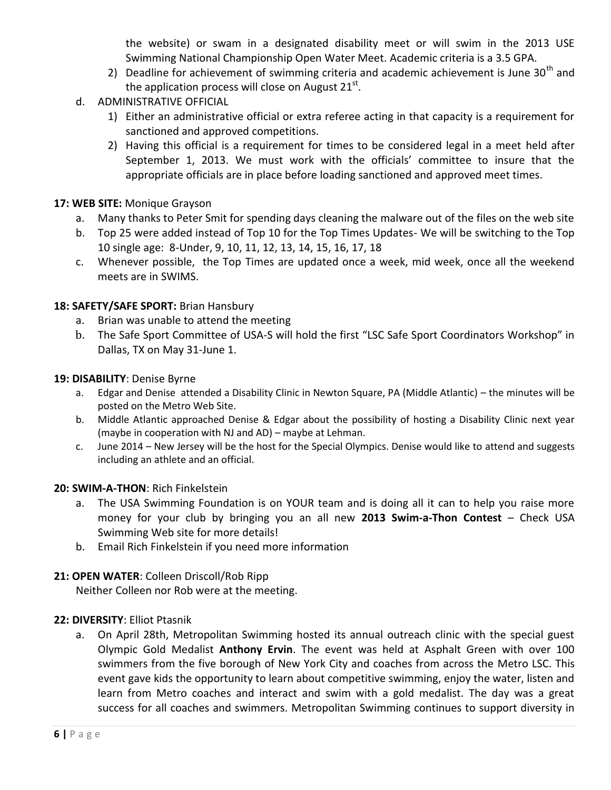the website) or swam in a designated disability meet or will swim in the 2013 USE Swimming National Championship Open Water Meet. Academic criteria is a 3.5 GPA.

- 2) Deadline for achievement of swimming criteria and academic achievement is June  $30<sup>th</sup>$  and the application process will close on August 21<sup>st</sup>.
- d. ADMINISTRATIVE OFFICIAL
	- 1) Either an administrative official or extra referee acting in that capacity is a requirement for sanctioned and approved competitions.
	- 2) Having this official is a requirement for times to be considered legal in a meet held after September 1, 2013. We must work with the officials' committee to insure that the appropriate officials are in place before loading sanctioned and approved meet times.

#### **17: WEB SITE:** Monique Grayson

- a. Many thanks to Peter Smit for spending days cleaning the malware out of the files on the web site
- b. Top 25 were added instead of Top 10 for the Top Times Updates- We will be switching to the Top 10 single age: 8-Under, 9, 10, 11, 12, 13, 14, 15, 16, 17, 18
- c. Whenever possible, the Top Times are updated once a week, mid week, once all the weekend meets are in SWIMS.

#### **18: SAFETY/SAFE SPORT:** Brian Hansbury

- a. Brian was unable to attend the meeting
- b. The Safe Sport Committee of USA-S will hold the first "LSC Safe Sport Coordinators Workshop" in Dallas, TX on May 31-June 1.

#### **19: DISABILITY**: Denise Byrne

- a. Edgar and Denise attended a Disability Clinic in Newton Square, PA (Middle Atlantic) the minutes will be posted on the Metro Web Site.
- b. Middle Atlantic approached Denise & Edgar about the possibility of hosting a Disability Clinic next year (maybe in cooperation with NJ and AD) – maybe at Lehman.
- c. June 2014 New Jersey will be the host for the Special Olympics. Denise would like to attend and suggests including an athlete and an official.

#### **20: SWIM-A-THON**: Rich Finkelstein

- a. The USA Swimming Foundation is on YOUR team and is doing all it can to help you raise more money for your club by bringing you an all new **2013 Swim-a-Thon Contest** – Check USA Swimming Web site for more details!
- b. Email Rich Finkelstein if you need more information

#### **21: OPEN WATER**: Colleen Driscoll/Rob Ripp

Neither Colleen nor Rob were at the meeting.

#### **22: DIVERSITY**: Elliot Ptasnik

a. On April 28th, Metropolitan Swimming hosted its annual outreach clinic with the special guest Olympic Gold Medalist **Anthony Ervin**. The event was held at Asphalt Green with over 100 swimmers from the five borough of New York City and coaches from across the Metro LSC. This event gave kids the opportunity to learn about competitive swimming, enjoy the water, listen and learn from Metro coaches and interact and swim with a gold medalist. The day was a great success for all coaches and swimmers. Metropolitan Swimming continues to support diversity in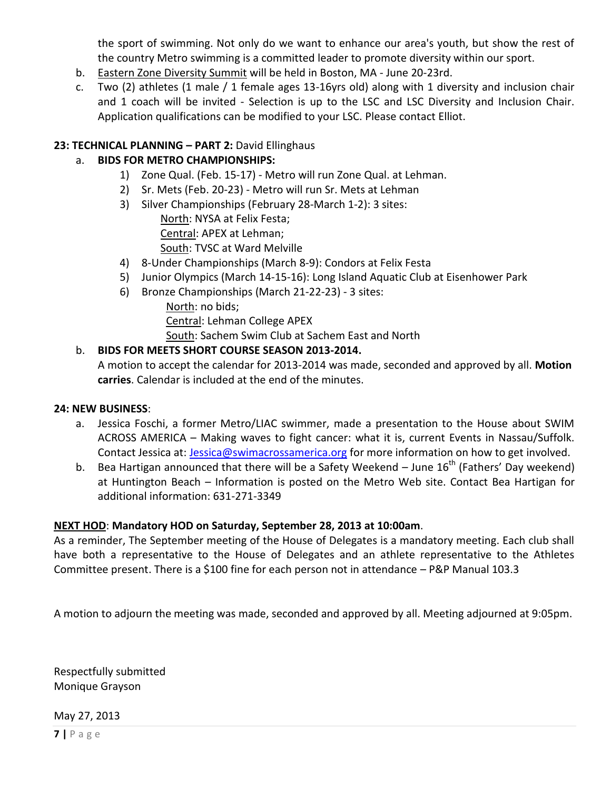the sport of swimming. Not only do we want to enhance our area's youth, but show the rest of the country Metro swimming is a committed leader to promote diversity within our sport.

- b. Eastern Zone Diversity Summit will be held in Boston, MA June 20-23rd.
- c. Two (2) athletes (1 male / 1 female ages 13-16yrs old) along with 1 diversity and inclusion chair and 1 coach will be invited - Selection is up to the LSC and LSC Diversity and Inclusion Chair. Application qualifications can be modified to your LSC. Please contact Elliot.

#### **23: TECHNICAL PLANNING – PART 2:** David Ellinghaus

#### a. **BIDS FOR METRO CHAMPIONSHIPS:**

- 1) Zone Qual. (Feb. 15-17) Metro will run Zone Qual. at Lehman.
- 2) Sr. Mets (Feb. 20-23) Metro will run Sr. Mets at Lehman
- 3) Silver Championships (February 28-March 1-2): 3 sites: North: NYSA at Felix Festa; Central: APEX at Lehman; South: TVSC at Ward Melville
- 4) 8-Under Championships (March 8-9): Condors at Felix Festa
- 5) Junior Olympics (March 14-15-16): Long Island Aquatic Club at Eisenhower Park
- 6) Bronze Championships (March 21-22-23) 3 sites:
	- North: no bids; Central: Lehman College APEX South: Sachem Swim Club at Sachem East and North

#### b. **BIDS FOR MEETS SHORT COURSE SEASON 2013-2014.**

A motion to accept the calendar for 2013-2014 was made, seconded and approved by all. **Motion carries**. Calendar is included at the end of the minutes.

#### **24: NEW BUSINESS**:

- a. Jessica Foschi, a former Metro/LIAC swimmer, made a presentation to the House about SWIM ACROSS AMERICA – Making waves to fight cancer: what it is, current Events in Nassau/Suffolk. Contact Jessica at: **Jessica@swimacrossamerica.org** for more information on how to get involved.
- b. Bea Hartigan announced that there will be a Safety Weekend June  $16<sup>th</sup>$  (Fathers' Day weekend) at Huntington Beach – Information is posted on the Metro Web site. Contact Bea Hartigan for additional information: 631-271-3349

#### **NEXT HOD**: **Mandatory HOD on Saturday, September 28, 2013 at 10:00am**.

As a reminder, The September meeting of the House of Delegates is a mandatory meeting. Each club shall have both a representative to the House of Delegates and an athlete representative to the Athletes Committee present. There is a \$100 fine for each person not in attendance – P&P Manual 103.3

A motion to adjourn the meeting was made, seconded and approved by all. Meeting adjourned at 9:05pm.

Respectfully submitted Monique Grayson

May 27, 2013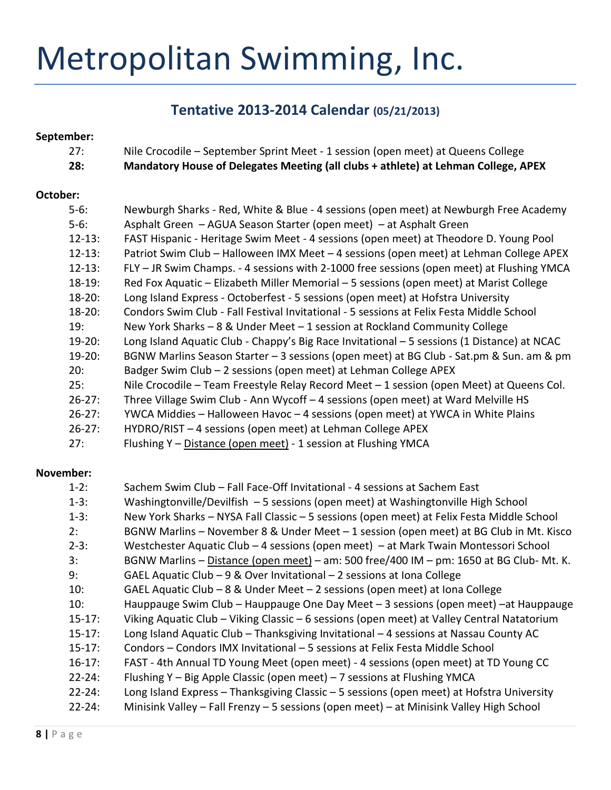# Metropolitan Swimming, Inc.

# **Tentative 2013-2014 Calendar (05/21/2013)**

#### **September:**

| 27:         | Nile Crocodile – September Sprint Meet - 1 session (open meet) at Queens College            |
|-------------|---------------------------------------------------------------------------------------------|
| 28:         | Mandatory House of Delegates Meeting (all clubs + athlete) at Lehman College, APEX          |
|             |                                                                                             |
| October:    |                                                                                             |
| $5-6:$      | Newburgh Sharks - Red, White & Blue - 4 sessions (open meet) at Newburgh Free Academy       |
| $5-6:$      | Asphalt Green - AGUA Season Starter (open meet) - at Asphalt Green                          |
| $12 - 13$ : | FAST Hispanic - Heritage Swim Meet - 4 sessions (open meet) at Theodore D. Young Pool       |
| $12 - 13$ : | Patriot Swim Club - Halloween IMX Meet - 4 sessions (open meet) at Lehman College APEX      |
| $12 - 13:$  | FLY - JR Swim Champs. - 4 sessions with 2-1000 free sessions (open meet) at Flushing YMCA   |
| $18 - 19$ : | Red Fox Aquatic - Elizabeth Miller Memorial - 5 sessions (open meet) at Marist College      |
| $18 - 20$ : | Long Island Express - Octoberfest - 5 sessions (open meet) at Hofstra University            |
| $18 - 20$ : | Condors Swim Club - Fall Festival Invitational - 5 sessions at Felix Festa Middle School    |
| 19:         | New York Sharks $-8$ & Under Meet $-1$ session at Rockland Community College                |
| $19-20$ :   | Long Island Aquatic Club - Chappy's Big Race Invitational - 5 sessions (1 Distance) at NCAC |
| $19-20:$    | BGNW Marlins Season Starter - 3 sessions (open meet) at BG Club - Sat.pm & Sun. am & pm     |
| 20:         | Badger Swim Club - 2 sessions (open meet) at Lehman College APEX                            |
| 25:         | Nile Crocodile - Team Freestyle Relay Record Meet - 1 session (open Meet) at Queens Col.    |
| $26 - 27$ : | Three Village Swim Club - Ann Wycoff - 4 sessions (open meet) at Ward Melville HS           |
| $26 - 27$ : | YWCA Middies - Halloween Havoc - 4 sessions (open meet) at YWCA in White Plains             |
| $26 - 27$ : | HYDRO/RIST - 4 sessions (open meet) at Lehman College APEX                                  |
| 27:         | Flushing Y - Distance (open meet) - 1 session at Flushing YMCA                              |

#### **November:**

| $1-2:$      | Sachem Swim Club - Fall Face-Off Invitational - 4 sessions at Sachem East                  |
|-------------|--------------------------------------------------------------------------------------------|
| $1-3:$      | Washingtonville/Devilfish - 5 sessions (open meet) at Washingtonville High School          |
| $1-3:$      | New York Sharks - NYSA Fall Classic - 5 sessions (open meet) at Felix Festa Middle School  |
| 2:          | BGNW Marlins - November 8 & Under Meet - 1 session (open meet) at BG Club in Mt. Kisco     |
| $2-3:$      | Westchester Aquatic Club - 4 sessions (open meet) - at Mark Twain Montessori School        |
| 3:          | BGNW Marlins - Distance (open meet) - am: 500 free/400 IM - pm: 1650 at BG Club- Mt. K.    |
| 9:          | GAEL Aquatic Club - 9 & Over Invitational - 2 sessions at Iona College                     |
| 10:         | GAEL Aquatic Club - $8$ & Under Meet - 2 sessions (open meet) at Iona College              |
| 10:         | Hauppauge Swim Club – Hauppauge One Day Meet – 3 sessions (open meet) –at Hauppauge        |
| $15 - 17$ : | Viking Aquatic Club - Viking Classic - 6 sessions (open meet) at Valley Central Natatorium |
| $15 - 17$ : | Long Island Aquatic Club - Thanksgiving Invitational - 4 sessions at Nassau County AC      |
| $15 - 17$ : | Condors - Condors IMX Invitational - 5 sessions at Felix Festa Middle School               |
| $16 - 17$ : | FAST - 4th Annual TD Young Meet (open meet) - 4 sessions (open meet) at TD Young CC        |
| $22 - 24:$  | Flushing Y - Big Apple Classic (open meet) - 7 sessions at Flushing YMCA                   |
| $22 - 24:$  | Long Island Express - Thanksgiving Classic - 5 sessions (open meet) at Hofstra University  |
| $22 - 24:$  | Minisink Valley - Fall Frenzy - 5 sessions (open meet) - at Minisink Valley High School    |
|             |                                                                                            |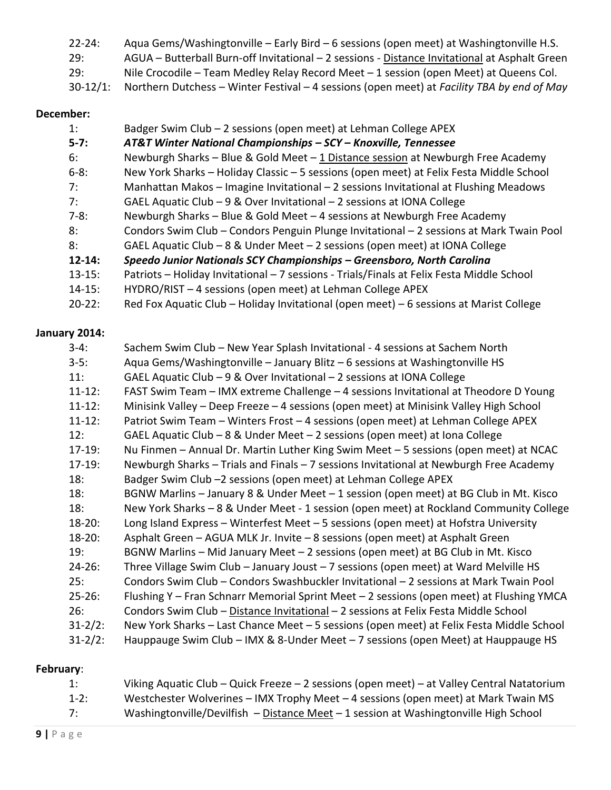| $22 - 24:$    | Aqua Gems/Washingtonville - Early Bird - 6 sessions (open meet) at Washingtonville H.S.       |
|---------------|-----------------------------------------------------------------------------------------------|
| 29:           | AGUA - Butterball Burn-off Invitational - 2 sessions - Distance Invitational at Asphalt Green |
| 29:           | Nile Crocodile – Team Medley Relay Record Meet – 1 session (open Meet) at Queens Col.         |
| $30 - 12/1$ : | Northern Dutchess – Winter Festival – 4 sessions (open meet) at Facility TBA by end of May    |

#### **December:**

| 1:         | Badger Swim Club - 2 sessions (open meet) at Lehman College APEX                          |
|------------|-------------------------------------------------------------------------------------------|
| $5 - 7:$   | AT&T Winter National Championships - SCY - Knoxville, Tennessee                           |
| 6:         | Newburgh Sharks - Blue & Gold Meet - 1 Distance session at Newburgh Free Academy          |
| $6 - 8:$   | New York Sharks - Holiday Classic - 5 sessions (open meet) at Felix Festa Middle School   |
| 7:         | Manhattan Makos - Imagine Invitational - 2 sessions Invitational at Flushing Meadows      |
| 7:         | GAEL Aquatic Club $-9$ & Over Invitational $-2$ sessions at IONA College                  |
| $7-8:$     | Newburgh Sharks - Blue & Gold Meet - 4 sessions at Newburgh Free Academy                  |
| 8:         | Condors Swim Club - Condors Penguin Plunge Invitational - 2 sessions at Mark Twain Pool   |
| 8:         | GAEL Aquatic Club - 8 & Under Meet - 2 sessions (open meet) at IONA College               |
| $12 - 14:$ | Speedo Junior Nationals SCY Championships - Greensboro, North Carolina                    |
| $13 - 15:$ | Patriots - Holiday Invitational - 7 sessions - Trials/Finals at Felix Festa Middle School |
| $14 - 15:$ | HYDRO/RIST - 4 sessions (open meet) at Lehman College APEX                                |

20-22: Red Fox Aquatic Club – Holiday Invitational (open meet) – 6 sessions at Marist College

# **January 2014:**

| $3-4:$       | Sachem Swim Club - New Year Splash Invitational - 4 sessions at Sachem North             |
|--------------|------------------------------------------------------------------------------------------|
| $3-5:$       | Aqua Gems/Washingtonville - January Blitz - 6 sessions at Washingtonville HS             |
| 11:          | GAEL Aquatic Club - 9 & Over Invitational - 2 sessions at IONA College                   |
| $11 - 12$ :  | FAST Swim Team - IMX extreme Challenge - 4 sessions Invitational at Theodore D Young     |
| $11 - 12$ :  | Minisink Valley - Deep Freeze - 4 sessions (open meet) at Minisink Valley High School    |
| $11 - 12$ :  | Patriot Swim Team - Winters Frost - 4 sessions (open meet) at Lehman College APEX        |
| 12:          | GAEL Aquatic Club - 8 & Under Meet - 2 sessions (open meet) at Iona College              |
| $17-19:$     | Nu Finmen - Annual Dr. Martin Luther King Swim Meet - 5 sessions (open meet) at NCAC     |
| $17-19:$     | Newburgh Sharks - Trials and Finals - 7 sessions Invitational at Newburgh Free Academy   |
| 18:          | Badger Swim Club -2 sessions (open meet) at Lehman College APEX                          |
| 18:          | BGNW Marlins - January 8 & Under Meet - 1 session (open meet) at BG Club in Mt. Kisco    |
| 18:          | New York Sharks - 8 & Under Meet - 1 session (open meet) at Rockland Community College   |
| $18 - 20$ :  | Long Island Express - Winterfest Meet - 5 sessions (open meet) at Hofstra University     |
| $18 - 20$ :  | Asphalt Green - AGUA MLK Jr. Invite - 8 sessions (open meet) at Asphalt Green            |
| 19:          | BGNW Marlins - Mid January Meet - 2 sessions (open meet) at BG Club in Mt. Kisco         |
| $24 - 26:$   | Three Village Swim Club - January Joust - 7 sessions (open meet) at Ward Melville HS     |
| 25:          | Condors Swim Club - Condors Swashbuckler Invitational - 2 sessions at Mark Twain Pool    |
| $25 - 26:$   | Flushing Y - Fran Schnarr Memorial Sprint Meet - 2 sessions (open meet) at Flushing YMCA |
| 26:          | Condors Swim Club - Distance Invitational - 2 sessions at Felix Festa Middle School      |
| $31 - 2/2$ : | New York Sharks - Last Chance Meet - 5 sessions (open meet) at Felix Festa Middle School |
| $31 - 2/2$ : | Hauppauge Swim Club – IMX & 8-Under Meet – 7 sessions (open Meet) at Hauppauge HS        |

#### **February**:

| 1:     | Viking Aquatic Club – Quick Freeze – 2 sessions (open meet) – at Valley Central Natatorium |
|--------|--------------------------------------------------------------------------------------------|
| $1-2:$ | Westchester Wolverines - IMX Trophy Meet - 4 sessions (open meet) at Mark Twain MS         |
| 7:     | Washingtonville/Devilfish $-$ Distance Meet $-1$ session at Washingtonville High School    |